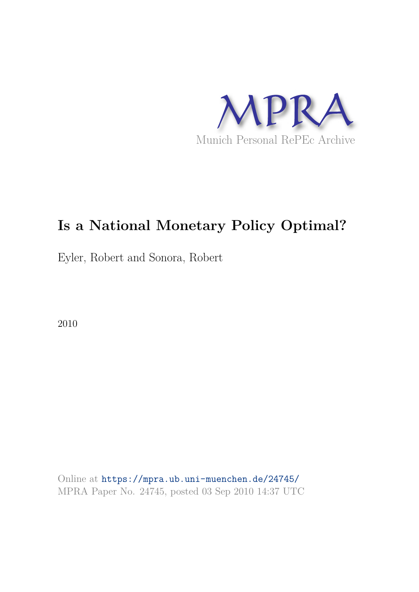

# **Is a National Monetary Policy Optimal?**

Eyler, Robert and Sonora, Robert

2010

Online at https://mpra.ub.uni-muenchen.de/24745/ MPRA Paper No. 24745, posted 03 Sep 2010 14:37 UTC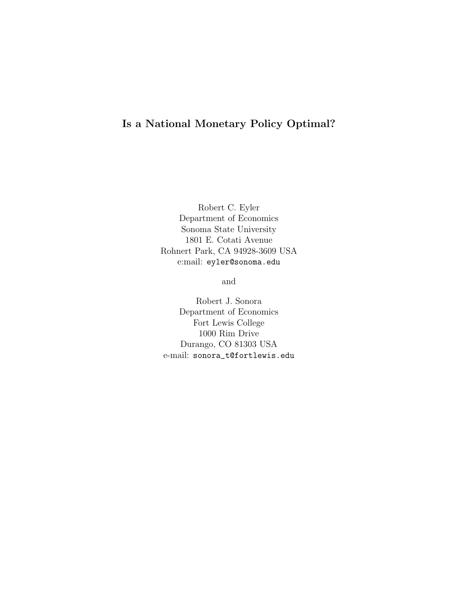### Is a National Monetary Policy Optimal?

Robert C. Eyler Department of Economics Sonoma State University 1801 E. Cotati Avenue Rohnert Park, CA 94928-3609 USA e:mail: eyler@sonoma.edu

and

Robert J. Sonora Department of Economics Fort Lewis College 1000 Rim Drive Durango, CO 81303 USA e-mail: sonora\_t@fortlewis.edu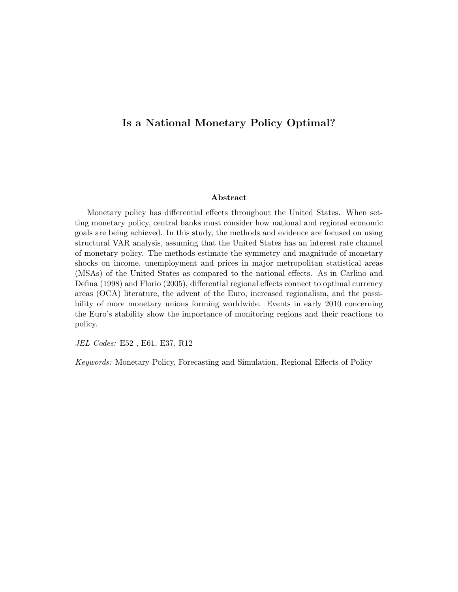#### Is a National Monetary Policy Optimal?

#### Abstract

Monetary policy has differential effects throughout the United States. When setting monetary policy, central banks must consider how national and regional economic goals are being achieved. In this study, the methods and evidence are focused on using structural VAR analysis, assuming that the United States has an interest rate channel of monetary policy. The methods estimate the symmetry and magnitude of monetary shocks on income, unemployment and prices in major metropolitan statistical areas (MSAs) of the United States as compared to the national effects. As in Carlino and Defina (1998) and Florio (2005), differential regional effects connect to optimal currency areas (OCA) literature, the advent of the Euro, increased regionalism, and the possibility of more monetary unions forming worldwide. Events in early 2010 concerning the Euro's stability show the importance of monitoring regions and their reactions to policy.

JEL Codes: E52 , E61, E37, R12

Keywords: Monetary Policy, Forecasting and Simulation, Regional Effects of Policy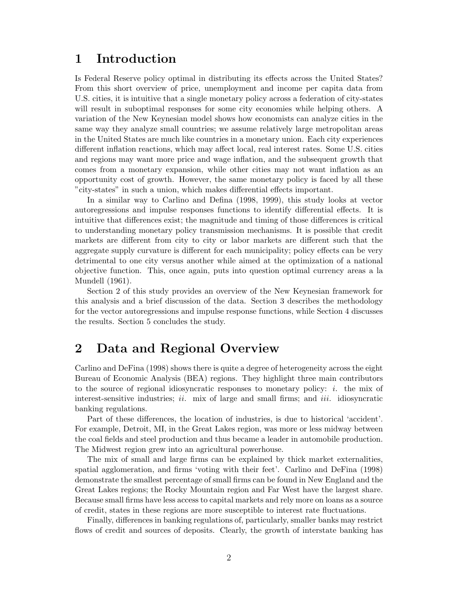### 1 Introduction

Is Federal Reserve policy optimal in distributing its effects across the United States? From this short overview of price, unemployment and income per capita data from U.S. cities, it is intuitive that a single monetary policy across a federation of city-states will result in suboptimal responses for some city economies while helping others. A variation of the New Keynesian model shows how economists can analyze cities in the same way they analyze small countries; we assume relatively large metropolitan areas in the United States are much like countries in a monetary union. Each city experiences different inflation reactions, which may affect local, real interest rates. Some U.S. cities and regions may want more price and wage inflation, and the subsequent growth that comes from a monetary expansion, while other cities may not want inflation as an opportunity cost of growth. However, the same monetary policy is faced by all these "city-states" in such a union, which makes differential effects important.

In a similar way to Carlino and Defina (1998, 1999), this study looks at vector autoregressions and impulse responses functions to identify differential effects. It is intuitive that differences exist; the magnitude and timing of those differences is critical to understanding monetary policy transmission mechanisms. It is possible that credit markets are different from city to city or labor markets are different such that the aggregate supply curvature is different for each municipality; policy effects can be very detrimental to one city versus another while aimed at the optimization of a national objective function. This, once again, puts into question optimal currency areas a la Mundell (1961).

Section 2 of this study provides an overview of the New Keynesian framework for this analysis and a brief discussion of the data. Section 3 describes the methodology for the vector autoregressions and impulse response functions, while Section 4 discusses the results. Section 5 concludes the study.

### 2 Data and Regional Overview

Carlino and DeFina (1998) shows there is quite a degree of heterogeneity across the eight Bureau of Economic Analysis (BEA) regions. They highlight three main contributors to the source of regional idiosyncratic responses to monetary policy: *i*. the mix of interest-sensitive industries; ii. mix of large and small firms; and iii. idiosyncratic banking regulations.

Part of these differences, the location of industries, is due to historical 'accident'. For example, Detroit, MI, in the Great Lakes region, was more or less midway between the coal fields and steel production and thus became a leader in automobile production. The Midwest region grew into an agricultural powerhouse.

The mix of small and large firms can be explained by thick market externalities, spatial agglomeration, and firms 'voting with their feet'. Carlino and DeFina (1998) demonstrate the smallest percentage of small firms can be found in New England and the Great Lakes regions; the Rocky Mountain region and Far West have the largest share. Because small firms have less access to capital markets and rely more on loans as a source of credit, states in these regions are more susceptible to interest rate fluctuations.

Finally, differences in banking regulations of, particularly, smaller banks may restrict flows of credit and sources of deposits. Clearly, the growth of interstate banking has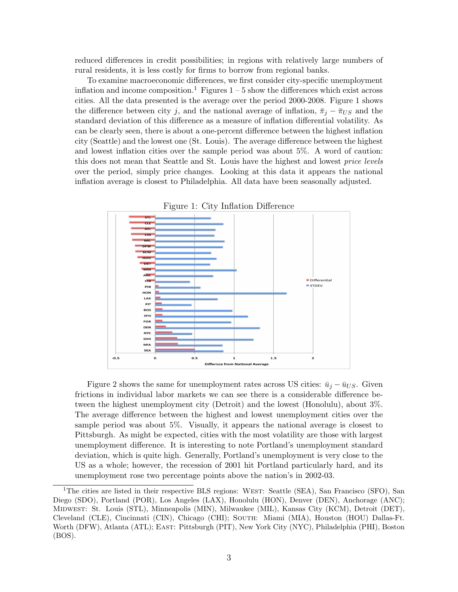reduced differences in credit possibilities; in regions with relatively large numbers of rural residents, it is less costly for firms to borrow from regional banks.

To examine macroeconomic differences, we first consider city-specific unemployment inflation and income composition.<sup>1</sup> Figures  $1-5$  show the differences which exist across cities. All the data presented is the average over the period 2000-2008. Figure 1 shows the difference between city j, and the national average of inflation,  $\bar{\pi}_j - \bar{\pi}_{US}$  and the standard deviation of this difference as a measure of inflation differential volatility. As can be clearly seen, there is about a one-percent difference between the highest inflation city (Seattle) and the lowest one (St. Louis). The average difference between the highest and lowest inflation cities over the sample period was about 5%. A word of caution: this does not mean that Seattle and St. Louis have the highest and lowest price levels over the period, simply price changes. Looking at this data it appears the national inflation average is closest to Philadelphia. All data have been seasonally adjusted.



Figure 1: City Inflation Difference

Figure 2 shows the same for unemployment rates across US cities:  $\bar{u}_i - \bar{u}_{US}$ . Given frictions in individual labor markets we can see there is a considerable difference between the highest unemployment city (Detroit) and the lowest (Honolulu), about 3%. The average difference between the highest and lowest unemployment cities over the sample period was about 5%. Visually, it appears the national average is closest to Pittsburgh. As might be expected, cities with the most volatility are those with largest unemployment difference. It is interesting to note Portland's unemployment standard deviation, which is quite high. Generally, Portland's unemployment is very close to the US as a whole; however, the recession of 2001 hit Portland particularly hard, and its unemployment rose two percentage points above the nation's in 2002-03.

<sup>&</sup>lt;sup>1</sup>The cities are listed in their respective BLS regions: WEST: Seattle (SEA), San Francisco (SFO), San Diego (SDO), Portland (POR), Los Angeles (LAX), Honolulu (HON), Denver (DEN), Anchorage (ANC); Midwest: St. Louis (STL), Minneapolis (MIN), Milwaukee (MIL), Kansas City (KCM), Detroit (DET), Cleveland (CLE), Cincinnati (CIN), Chicago (CHI); South: Miami (MIA), Houston (HOU) Dallas-Ft. Worth (DFW), Atlanta (ATL); East: Pittsburgh (PIT), New York City (NYC), Philadelphia (PHI), Boston (BOS).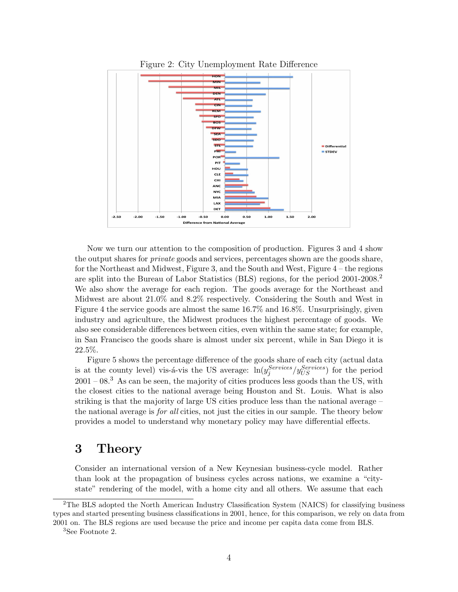

Figure 2: City Unemployment Rate Difference

Now we turn our attention to the composition of production. Figures 3 and 4 show the output shares for *private* goods and services, percentages shown are the goods share, for the Northeast and Midwest, Figure 3, and the South and West, Figure 4 – the regions are split into the Bureau of Labor Statistics (BLS) regions, for the period 2001-2008.<sup>2</sup> We also show the average for each region. The goods average for the Northeast and Midwest are about 21.0% and 8.2% respectively. Considering the South and West in Figure 4 the service goods are almost the same 16.7% and 16.8%. Unsurprisingly, given industry and agriculture, the Midwest produces the highest percentage of goods. We also see considerable differences between cities, even within the same state; for example, in San Francisco the goods share is almost under six percent, while in San Diego it is 22.5%.

Figure 5 shows the percentage difference of the goods share of each city (actual data is at the county level) vis-á-vis the US average:  $\ln(y_j^{Services}/y_{US}^{Services})$  for the period  $2001 - 08<sup>3</sup>$  As can be seen, the majority of cities produces less goods than the US, with the closest cities to the national average being Houston and St. Louis. What is also striking is that the majority of large US cities produce less than the national average – the national average is for all cities, not just the cities in our sample. The theory below provides a model to understand why monetary policy may have differential effects.

### 3 Theory

Consider an international version of a New Keynesian business-cycle model. Rather than look at the propagation of business cycles across nations, we examine a "citystate" rendering of the model, with a home city and all others. We assume that each

<sup>3</sup>See Footnote 2.

<sup>&</sup>lt;sup>2</sup>The BLS adopted the North American Industry Classification System (NAICS) for classifying business types and started presenting business classifications in 2001, hence, for this comparison, we rely on data from 2001 on. The BLS regions are used because the price and income per capita data come from BLS.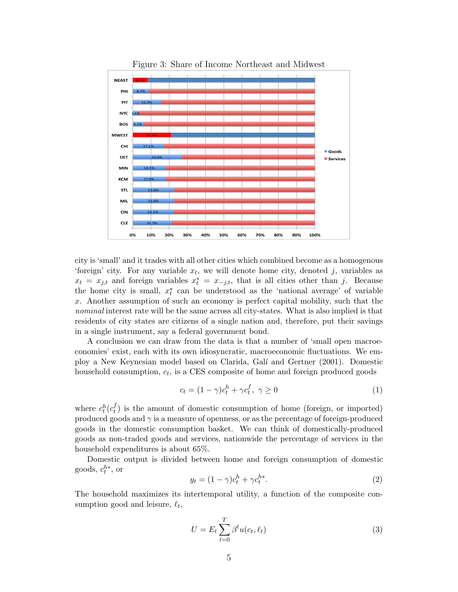

Figure 3: Share of Income Northeast and Midwest

city is 'small' and it trades with all other cities which combined become as a homogenous 'foreign' city. For any variable  $x_t$ , we will denote home city, denoted j, variables as  $x_t = x_{j,t}$  and foreign variables  $x_t^* = x_{-j,t}$ , that is all cities other than j. Because the home city is small,  $x_t^*$  $_{t}^{*}$  can be understood as the 'national average' of variable x. Another assumption of such an economy is perfect capital mobility, such that the nominal interest rate will be the same across all city-states. What is also implied is that residents of city states are citizens of a single nation and, therefore, put their savings in a single instrument, say a federal government bond.

A conclusion we can draw from the data is that a number of 'small open macroeconomies' exist, each with its own idiosyncratic, macroeconomic fluctuations. We employ a New Keynesian model based on Clarida, Gal´ı and Gertner (2001). Domestic household consumption,  $c_t$ , is a CES composite of home and foreign produced goods

$$
c_t = (1 - \gamma)c_t^h + \gamma c_t^f, \ \gamma \ge 0 \tag{1}
$$

where  $c_t^h(c_t^f)$  $t<sub>t</sub>$ ) is the amount of domestic consumption of home (foreign, or imported) produced goods and  $\gamma$  is a measure of openness, or as the percentage of foreign-produced goods in the domestic consumption basket. We can think of domestically-produced goods as non-traded goods and services, nationwide the percentage of services in the household expenditures is about 65%.

Domestic output is divided between home and foreign consumption of domestic goods,  $c_t^{h*}$ , or

$$
y_t = (1 - \gamma)c_t^h + \gamma c_t^{h*}.\tag{2}
$$

The household maximizes its intertemporal utility, a function of the composite consumption good and leisure,  $\ell_t$ ,

$$
U = E_t \sum_{t=0}^{T} \beta^t u(c_t, \ell_t)
$$
\n(3)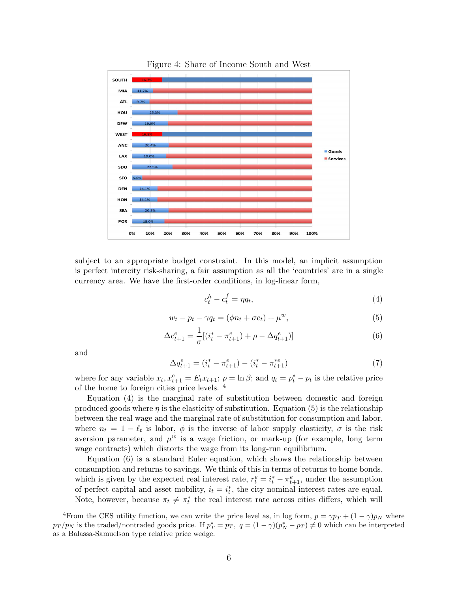

Figure 4: Share of Income South and West

subject to an appropriate budget constraint. In this model, an implicit assumption is perfect intercity risk-sharing, a fair assumption as all the 'countries' are in a single currency area. We have the first-order conditions, in log-linear form,

$$
c_t^h - c_t^f = \eta q_t,\tag{4}
$$

$$
w_t - p_t - \gamma q_t = (\phi n_t + \sigma c_t) + \mu^w,\tag{5}
$$

$$
\Delta c_{t+1}^e = \frac{1}{\sigma} [(i_t^* - \pi_{t+1}^e) + \rho - \Delta q_{t+1}^e)] \tag{6}
$$

and

$$
\Delta q_{t+1}^e = (i_t^* - \pi_{t+1}^e) - (i_t^* - \pi_{t+1}^{*e})
$$
\n<sup>(7)</sup>

where for any variable  $x_t, x_{t+1}^e = E_t x_{t+1}$ ;  $\rho = \ln \beta$ ; and  $q_t = p_t^* - p_t$  is the relative price of the home to foreign cities price levels. <sup>4</sup>

Equation (4) is the marginal rate of substitution between domestic and foreign produced goods where  $\eta$  is the elasticity of substitution. Equation (5) is the relationship between the real wage and the marginal rate of substitution for consumption and labor, where  $n_t = 1 - \ell_t$  is labor,  $\phi$  is the inverse of labor supply elasticity,  $\sigma$  is the risk aversion parameter, and  $\mu^w$  is a wage friction, or mark-up (for example, long term wage contracts) which distorts the wage from its long-run equilibrium.

Equation (6) is a standard Euler equation, which shows the relationship between consumption and returns to savings. We think of this in terms of returns to home bonds, which is given by the expected real interest rate,  $r_t^e = i_t^* - \pi_{t+1}^e$ , under the assumption of perfect capital and asset mobility,  $i_t = i_t^*$  $_{t}^{*}$ , the city nominal interest rates are equal. Note, however, because  $\pi_t \neq \pi_t^*$  $t$ <sup>\*</sup> the real interest rate across cities differs, which will

<sup>&</sup>lt;sup>4</sup>From the CES utility function, we can write the price level as, in log form,  $p = \gamma p_T + (1 - \gamma)p_N$  where  $p_T/p_N$  is the traded/nontraded goods price. If  $p_T^* = p_T$ ,  $q = (1 - \gamma)(p_N^* - p_T) \neq 0$  which can be interpreted as a Balassa-Samuelson type relative price wedge.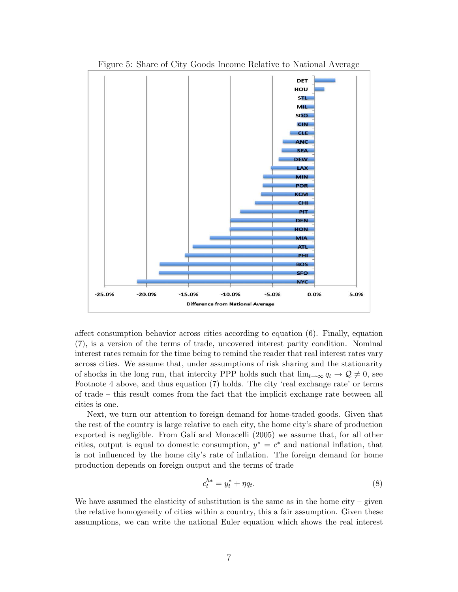

Figure 5: Share of City Goods Income Relative to National Average

affect consumption behavior across cities according to equation (6). Finally, equation (7), is a version of the terms of trade, uncovered interest parity condition. Nominal interest rates remain for the time being to remind the reader that real interest rates vary across cities. We assume that, under assumptions of risk sharing and the stationarity of shocks in the long run, that intercity PPP holds such that  $\lim_{t\to\infty} q_t \to \mathcal{Q} \neq 0$ , see Footnote 4 above, and thus equation (7) holds. The city 'real exchange rate' or terms of trade – this result comes from the fact that the implicit exchange rate between all cities is one.

Next, we turn our attention to foreign demand for home-traded goods. Given that the rest of the country is large relative to each city, the home city's share of production exported is negligible. From Galí and Monacelli (2005) we assume that, for all other cities, output is equal to domestic consumption,  $y^* = c^*$  and national inflation, that is not influenced by the home city's rate of inflation. The foreign demand for home production depends on foreign output and the terms of trade

$$
c_t^{h*} = y_t^* + \eta q_t. \tag{8}
$$

We have assumed the elasticity of substitution is the same as in the home city – given the relative homogeneity of cities within a country, this a fair assumption. Given these assumptions, we can write the national Euler equation which shows the real interest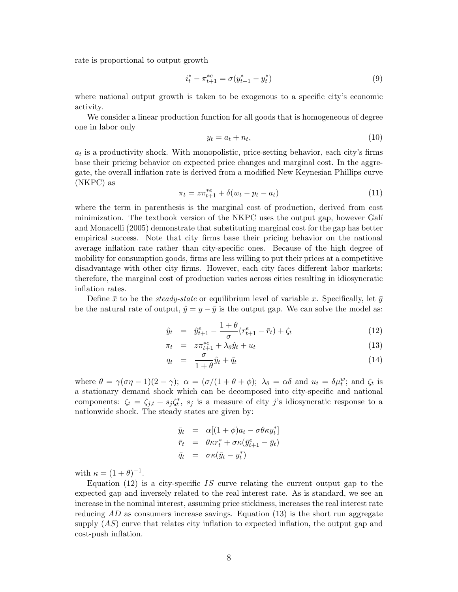rate is proportional to output growth

$$
i_t^* - \pi_{t+1}^{*e} = \sigma(y_{t+1}^* - y_t^*)
$$
\n(9)

where national output growth is taken to be exogenous to a specific city's economic activity.

We consider a linear production function for all goods that is homogeneous of degree one in labor only

$$
y_t = a_t + n_t,\tag{10}
$$

 $a_t$  is a productivity shock. With monopolistic, price-setting behavior, each city's firms base their pricing behavior on expected price changes and marginal cost. In the aggregate, the overall inflation rate is derived from a modified New Keynesian Phillips curve (NKPC) as

$$
\pi_t = z \pi_{t+1}^{*e} + \delta(w_t - p_t - a_t)
$$
\n(11)

where the term in parenthesis is the marginal cost of production, derived from cost minimization. The textbook version of the NKPC uses the output gap, however Galí and Monacelli (2005) demonstrate that substituting marginal cost for the gap has better empirical success. Note that city firms base their pricing behavior on the national average inflation rate rather than city-specific ones. Because of the high degree of mobility for consumption goods, firms are less willing to put their prices at a competitive disadvantage with other city firms. However, each city faces different labor markets; therefore, the marginal cost of production varies across cities resulting in idiosyncratic inflation rates.

Define  $\bar{x}$  to be the *steady-state* or equilibrium level of variable x. Specifically, let  $\bar{y}$ be the natural rate of output,  $\hat{y} = y - \bar{y}$  is the output gap. We can solve the model as:

$$
\hat{y}_t = \hat{y}_{t+1}^e - \frac{1+\theta}{\sigma} (r_{t+1}^e - \bar{r}_t) + \zeta_t \tag{12}
$$

$$
\pi_t = z\pi_{t+1}^{*e} + \lambda_\theta \hat{y}_t + u_t \tag{13}
$$

$$
q_t = \frac{\sigma}{1+\theta}\hat{y}_t + \bar{q}_t \tag{14}
$$

where  $\theta = \gamma(\sigma \eta - 1)(2 - \gamma)$ ;  $\alpha = (\sigma/(1 + \theta + \phi))$ ;  $\lambda_{\theta} = \alpha \delta$  and  $u_t = \delta \mu_t^w$ ; and  $\zeta_t$  is a stationary demand shock which can be decomposed into city-specific and national components:  $\zeta_t = \zeta_{j,t} + s_j \zeta_t^*$  $t^*$ ,  $s_j$  is a measure of city j's idiosyncratic response to a nationwide shock. The steady states are given by:

$$
\bar{y}_t = \alpha[(1+\phi)a_t - \sigma\theta\kappa y_t^*]
$$
  
\n
$$
\bar{r}_t = \theta\kappa r_t^* + \sigma\kappa(\bar{y}_{t+1}^e - \bar{y}_t)
$$
  
\n
$$
\bar{q}_t = \sigma\kappa(\bar{y}_t - y_t^*)
$$

with  $\kappa = (1+\theta)^{-1}$ .

Equation  $(12)$  is a city-specific IS curve relating the current output gap to the expected gap and inversely related to the real interest rate. As is standard, we see an increase in the nominal interest, assuming price stickiness, increases the real interest rate reducing  $AD$  as consumers increase savings. Equation (13) is the short run aggregate supply  $(AS)$  curve that relates city inflation to expected inflation, the output gap and cost-push inflation.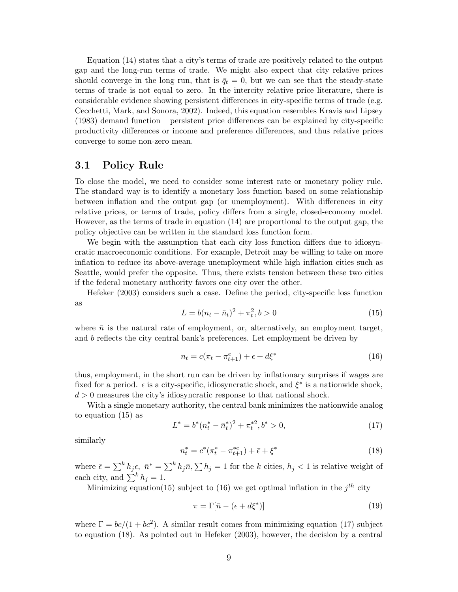Equation (14) states that a city's terms of trade are positively related to the output gap and the long-run terms of trade. We might also expect that city relative prices should converge in the long run, that is  $\bar{q}_t = 0$ , but we can see that the steady-state terms of trade is not equal to zero. In the intercity relative price literature, there is considerable evidence showing persistent differences in city-specific terms of trade (e.g. Cecchetti, Mark, and Sonora, 2002). Indeed, this equation resembles Kravis and Lipsey (1983) demand function – persistent price differences can be explained by city-specific productivity differences or income and preference differences, and thus relative prices converge to some non-zero mean.

#### 3.1 Policy Rule

To close the model, we need to consider some interest rate or monetary policy rule. The standard way is to identify a monetary loss function based on some relationship between inflation and the output gap (or unemployment). With differences in city relative prices, or terms of trade, policy differs from a single, closed-economy model. However, as the terms of trade in equation (14) are proportional to the output gap, the policy objective can be written in the standard loss function form.

We begin with the assumption that each city loss function differs due to idiosyncratic macroeconomic conditions. For example, Detroit may be willing to take on more inflation to reduce its above-average unemployment while high inflation cities such as Seattle, would prefer the opposite. Thus, there exists tension between these two cities if the federal monetary authority favors one city over the other.

Hefeker (2003) considers such a case. Define the period, city-specific loss function as

$$
L = b(n_t - \bar{n}_t)^2 + \pi_t^2, b > 0
$$
\n(15)

where  $\bar{n}$  is the natural rate of employment, or, alternatively, an employment target, and b reflects the city central bank's preferences. Let employment be driven by

$$
n_t = c(\pi_t - \pi_{t+1}^e) + \epsilon + d\xi^*
$$
\n(16)

thus, employment, in the short run can be driven by inflationary surprises if wages are fixed for a period.  $\epsilon$  is a city-specific, idiosyncratic shock, and  $\xi^*$  is a nationwide shock,  $d > 0$  measures the city's idiosyncratic response to that national shock.

With a single monetary authority, the central bank minimizes the nationwide analog to equation (15) as

$$
L^* = b^*(n_t^* - \bar{n}_t^*)^2 + \pi_t^{*2}, b^* > 0,
$$
\n(17)

similarly

$$
n_t^* = c^*(\pi_t^* - \pi_{t+1}^{*e}) + \bar{\epsilon} + \xi^*
$$
\n(18)

where  $\bar{\epsilon} = \sum^k h_j \epsilon$ ,  $\bar{n}^* = \sum^k h_j \bar{n}$ ,  $\sum h_j = 1$  for the k cities,  $h_j < 1$  is relative weight of each city, and  $\sum^k h_j = 1$ .

Minimizing equation(15) subject to (16) we get optimal inflation in the  $j<sup>th</sup>$  city

$$
\pi = \Gamma[\bar{n} - (\epsilon + d\xi^*)] \tag{19}
$$

where  $\Gamma = bc/(1 + bc^2)$ . A similar result comes from minimizing equation (17) subject to equation (18). As pointed out in Hefeker (2003), however, the decision by a central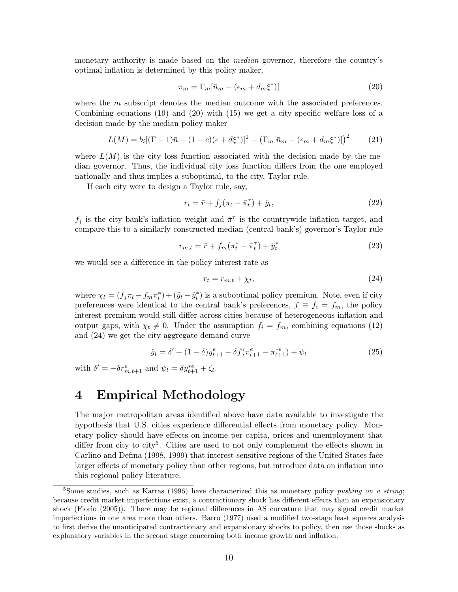monetary authority is made based on the median governor, therefore the country's optimal inflation is determined by this policy maker,

$$
\pi_m = \Gamma_m [\bar{n}_m - (\epsilon_m + d_m \xi^*)]
$$
\n(20)

where the m subscript denotes the median outcome with the associated preferences. Combining equations (19) and (20) with (15) we get a city specific welfare loss of a decision made by the median policy maker

$$
L(M) = b_i[(\Gamma - 1)\bar{n} + (1 - c)(\epsilon + d\xi^*)]^2 + (\Gamma_m[\bar{n}_m - (\epsilon_m + d_m\xi^*)])^2
$$
 (21)

where  $L(M)$  is the city loss function associated with the decision made by the median governor. Thus, the individual city loss function differs from the one employed nationally and thus implies a suboptimal, to the city, Taylor rule.

If each city were to design a Taylor rule, say,

$$
r_t = \bar{r} + f_j(\pi_t - \bar{\pi}_t^{\tau}) + \hat{y}_t,\tag{22}
$$

 $f_j$  is the city bank's inflation weight and  $\bar{\pi}^{\tau}$  is the countrywide inflation target, and compare this to a similarly constructed median (central bank's) governor's Taylor rule

$$
r_{m,t} = \bar{r} + f_m(\pi_t^* - \bar{\pi}_t^{\tau}) + \hat{y}_t^*
$$
\n(23)

we would see a difference in the policy interest rate as

$$
r_t = r_{m,t} + \chi_t,\tag{24}
$$

where  $\chi_t = (f_j \pi_t - f_m \pi_t^*)$  $(t_t^*) + (\hat{y}_t - \hat{y}_t^*)$  $_{t}^{*}$ ) is a suboptimal policy premium. Note, even if city preferences were identical to the central bank's preferences,  $f \equiv f_i = f_m$ , the policy interest premium would still differ across cities because of heterogeneous inflation and output gaps, with  $\chi_t \neq 0$ . Under the assumption  $f_i = f_m$ , combining equations (12) and (24) we get the city aggregate demand curve

$$
\hat{y}_t = \delta' + (1 - \delta)y_{t+1}^e - \delta f(\pi_{t+1}^e - \pi_{t+1}^{*e}) + \psi_t
$$
\n(25)

with  $\delta' = -\delta r_{m,t+1}^e$  and  $\psi_t = \delta y_{t+1}^{*e} + \zeta_t$ .

### 4 Empirical Methodology

The major metropolitan areas identified above have data available to investigate the hypothesis that U.S. cities experience differential effects from monetary policy. Monetary policy should have effects on income per capita, prices and unemployment that differ from city to city<sup>5</sup>. Cities are used to not only complement the effects shown in Carlino and Defina (1998, 1999) that interest-sensitive regions of the United States face larger effects of monetary policy than other regions, but introduce data on inflation into this regional policy literature.

<sup>&</sup>lt;sup>5</sup>Some studies, such as Karras (1996) have characterized this as monetary policy pushing on a string; because credit market imperfections exist, a contractionary shock has different effects than an expansionary shock (Florio (2005)). There may be regional differences in AS curvature that may signal credit market imperfections in one area more than others. Barro (1977) used a modified two-stage least squares analysis to first derive the unanticipated contractionary and expansionary shocks to policy, then use those shocks as explanatory variables in the second stage concerning both income growth and inflation.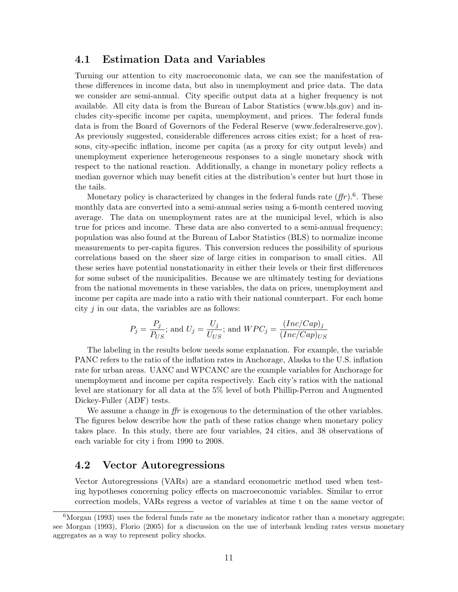#### 4.1 Estimation Data and Variables

Turning our attention to city macroeconomic data, we can see the manifestation of these differences in income data, but also in unemployment and price data. The data we consider are semi-annual. City specific output data at a higher frequency is not available. All city data is from the Bureau of Labor Statistics (www.bls.gov) and includes city-specific income per capita, unemployment, and prices. The federal funds data is from the Board of Governors of the Federal Reserve (www.federalreserve.gov). As previously suggested, considerable differences across cities exist; for a host of reasons, city-specific inflation, income per capita (as a proxy for city output levels) and unemployment experience heterogeneous responses to a single monetary shock with respect to the national reaction. Additionally, a change in monetary policy reflects a median governor which may benefit cities at the distribution's center but hurt those in the tails.

Monetary policy is characterized by changes in the federal funds rate  $(f\!f\!r)$ <sup>6</sup>. These monthly data are converted into a semi-annual series using a 6-month centered moving average. The data on unemployment rates are at the municipal level, which is also true for prices and income. These data are also converted to a semi-annual frequency; population was also found at the Bureau of Labor Statistics (BLS) to normalize income measurements to per-capita figures. This conversion reduces the possibility of spurious correlations based on the sheer size of large cities in comparison to small cities. All these series have potential nonstationarity in either their levels or their first differences for some subset of the municipalities. Because we are ultimately testing for deviations from the national movements in these variables, the data on prices, unemployment and income per capita are made into a ratio with their national counterpart. For each home city  $j$  in our data, the variables are as follows:

$$
P_j = \frac{P_j}{P_{US}}; \text{ and } U_j = \frac{U_j}{U_{US}}; \text{ and } WPC_j = \frac{(Inc/Cap)_j}{(Inc/Cap)_{US}}
$$

The labeling in the results below needs some explanation. For example, the variable PANC refers to the ratio of the inflation rates in Anchorage, Alaska to the U.S. inflation rate for urban areas. UANC and WPCANC are the example variables for Anchorage for unemployment and income per capita respectively. Each city's ratios with the national level are stationary for all data at the 5% level of both Phillip-Perron and Augmented Dickey-Fuller (ADF) tests.

We assume a change in ffr is exogenous to the determination of the other variables. The figures below describe how the path of these ratios change when monetary policy takes place. In this study, there are four variables, 24 cities, and 38 observations of each variable for city i from 1990 to 2008.

#### 4.2 Vector Autoregressions

Vector Autoregressions (VARs) are a standard econometric method used when testing hypotheses concerning policy effects on macroeconomic variables. Similar to error correction models, VARs regress a vector of variables at time t on the same vector of

 $6$ Morgan (1993) uses the federal funds rate as the monetary indicator rather than a monetary aggregate; see Morgan (1993), Florio (2005) for a discussion on the use of interbank lending rates versus monetary aggregates as a way to represent policy shocks.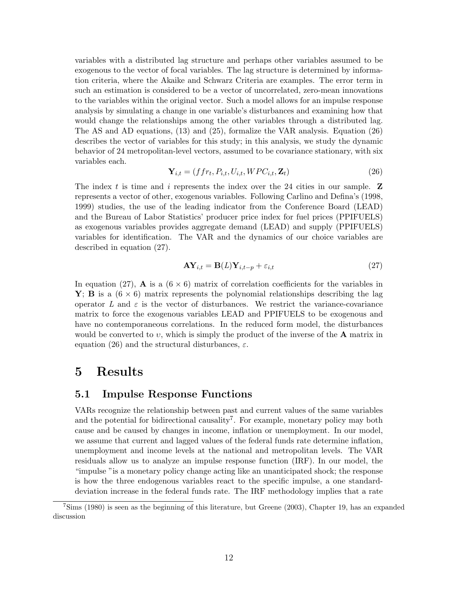variables with a distributed lag structure and perhaps other variables assumed to be exogenous to the vector of focal variables. The lag structure is determined by information criteria, where the Akaike and Schwarz Criteria are examples. The error term in such an estimation is considered to be a vector of uncorrelated, zero-mean innovations to the variables within the original vector. Such a model allows for an impulse response analysis by simulating a change in one variable's disturbances and examining how that would change the relationships among the other variables through a distributed lag. The AS and AD equations, (13) and (25), formalize the VAR analysis. Equation (26) describes the vector of variables for this study; in this analysis, we study the dynamic behavior of 24 metropolitan-level vectors, assumed to be covariance stationary, with six variables each.

$$
\mathbf{Y}_{i,t} = (ffr_t, P_{i,t}, U_{i,t}, WPC_{i,t}, \mathbf{Z}_t)
$$
\n(26)

The index t is time and i represents the index over the 24 cities in our sample.  $\mathbf{Z}$ represents a vector of other, exogenous variables. Following Carlino and Defina's (1998, 1999) studies, the use of the leading indicator from the Conference Board (LEAD) and the Bureau of Labor Statistics' producer price index for fuel prices (PPIFUELS) as exogenous variables provides aggregate demand (LEAD) and supply (PPIFUELS) variables for identification. The VAR and the dynamics of our choice variables are described in equation (27).

$$
\mathbf{AY}_{i,t} = \mathbf{B}(L)\mathbf{Y}_{i,t-p} + \varepsilon_{i,t} \tag{27}
$$

In equation (27), **A** is a  $(6 \times 6)$  matrix of correlation coefficients for the variables in **Y**; **B** is a  $(6 \times 6)$  matrix represents the polynomial relationships describing the lag operator L and  $\varepsilon$  is the vector of disturbances. We restrict the variance-covariance matrix to force the exogenous variables LEAD and PPIFUELS to be exogenous and have no contemporaneous correlations. In the reduced form model, the disturbances would be converted to  $v$ , which is simply the product of the inverse of the  $A$  matrix in equation (26) and the structural disturbances,  $\varepsilon$ .

### 5 Results

#### 5.1 Impulse Response Functions

VARs recognize the relationship between past and current values of the same variables and the potential for bidirectional causality<sup>7</sup>. For example, monetary policy may both cause and be caused by changes in income, inflation or unemployment. In our model, we assume that current and lagged values of the federal funds rate determine inflation, unemployment and income levels at the national and metropolitan levels. The VAR residuals allow us to analyze an impulse response function (IRF). In our model, the "impulse "is a monetary policy change acting like an unanticipated shock; the response is how the three endogenous variables react to the specific impulse, a one standarddeviation increase in the federal funds rate. The IRF methodology implies that a rate

<sup>7</sup>Sims (1980) is seen as the beginning of this literature, but Greene (2003), Chapter 19, has an expanded discussion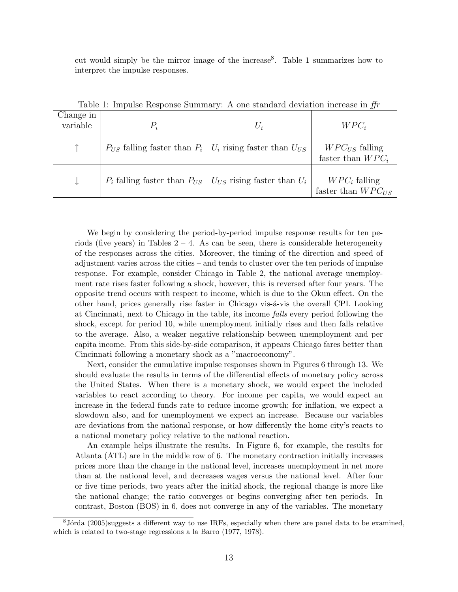cut would simply be the mirror image of the increase<sup>8</sup>. Table 1 summarizes how to interpret the impulse responses.

|           | Table 1. Hilpane Response Daminary. If one standard deviation mercase in fin |       |                                           |
|-----------|------------------------------------------------------------------------------|-------|-------------------------------------------|
| Change in |                                                                              |       |                                           |
| variable  | $P_i$                                                                        | $U_i$ | $WPC_i$                                   |
|           | $P_{US}$ falling faster than $P_i \mid U_i$ rising faster than $U_{US}$      |       | $WPC_{US}$ falling<br>faster than $WPC_i$ |
|           | $P_i$ falling faster than $P_{US}$   $U_{US}$ rising faster than $U_i$       |       | $WPC_i$ falling<br>faster than $WPC_{US}$ |

Table 1: Impulse Response Summary: A one standard deviation increase in  $f\!f\!r$ 

We begin by considering the period-by-period impulse response results for ten periods (five years) in Tables  $2 - 4$ . As can be seen, there is considerable heterogeneity of the responses across the cities. Moreover, the timing of the direction and speed of adjustment varies across the cities – and tends to cluster over the ten periods of impulse response. For example, consider Chicago in Table 2, the national average unemployment rate rises faster following a shock, however, this is reversed after four years. The opposite trend occurs with respect to income, which is due to the Okun effect. On the other hand, prices generally rise faster in Chicago vis- $\acute{a}$ -vis the overall CPI. Looking at Cincinnati, next to Chicago in the table, its income falls every period following the shock, except for period 10, while unemployment initially rises and then falls relative to the average. Also, a weaker negative relationship between unemployment and per capita income. From this side-by-side comparison, it appears Chicago fares better than Cincinnati following a monetary shock as a "macroeconomy".

Next, consider the cumulative impulse responses shown in Figures 6 through 13. We should evaluate the results in terms of the differential effects of monetary policy across the United States. When there is a monetary shock, we would expect the included variables to react according to theory. For income per capita, we would expect an increase in the federal funds rate to reduce income growth; for inflation, we expect a slowdown also, and for unemployment we expect an increase. Because our variables are deviations from the national response, or how differently the home city's reacts to a national monetary policy relative to the national reaction.

An example helps illustrate the results. In Figure 6, for example, the results for Atlanta (ATL) are in the middle row of 6. The monetary contraction initially increases prices more than the change in the national level, increases unemployment in net more than at the national level, and decreases wages versus the national level. After four or five time periods, two years after the initial shock, the regional change is more like the national change; the ratio converges or begins converging after ten periods. In contrast, Boston (BOS) in 6, does not converge in any of the variables. The monetary

<sup>&</sup>lt;sup>8</sup>J'orda (2005) suggests a different way to use IRFs, especially when there are panel data to be examined, which is related to two-stage regressions a la Barro (1977, 1978).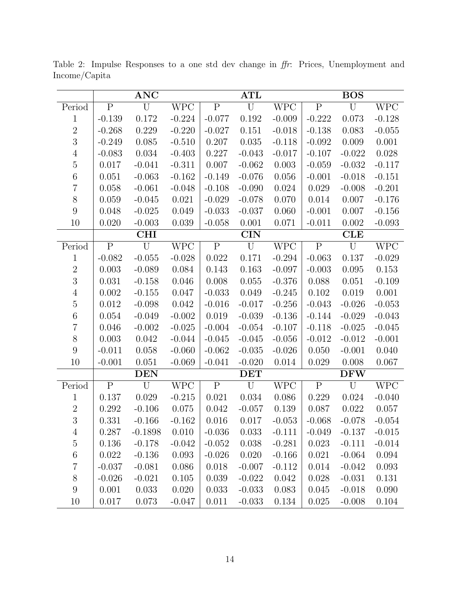|                  |           | <b>ANC</b> |            |           | <b>ATL</b> |            | <b>BOS</b> |            |            |  |  |  |
|------------------|-----------|------------|------------|-----------|------------|------------|------------|------------|------------|--|--|--|
| Period           | ${\bf P}$ | U          | <b>WPC</b> | ${\bf P}$ | U          | <b>WPC</b> | ${\bf P}$  | U          | <b>WPC</b> |  |  |  |
| $\mathbf{1}$     | $-0.139$  | 0.172      | $-0.224$   | $-0.077$  | 0.192      | $-0.009$   | $-0.222$   | 0.073      | $-0.128$   |  |  |  |
| $\overline{2}$   | $-0.268$  | 0.229      | $-0.220$   | $-0.027$  | 0.151      | $-0.018$   | $-0.138$   | 0.083      | $-0.055$   |  |  |  |
| 3                | $-0.249$  | 0.085      | $-0.510$   | 0.207     | 0.035      | $-0.118$   | $-0.092$   | 0.009      | 0.001      |  |  |  |
| $\overline{4}$   | $-0.083$  | 0.034      | $-0.403$   | 0.227     | $-0.043$   | $-0.017$   | $-0.107$   | $-0.022$   | 0.028      |  |  |  |
| $\mathbf 5$      | 0.017     | $-0.041$   | $-0.311$   | 0.007     | $-0.062$   | 0.003      | $-0.059$   | $-0.032$   | $-0.117$   |  |  |  |
| $\!6\,$          | 0.051     | $-0.063$   | $-0.162$   | $-0.149$  | $-0.076$   | 0.056      | $-0.001$   | $-0.018$   | $-0.151$   |  |  |  |
| $\overline{7}$   | 0.058     | $-0.061$   | $-0.048$   | $-0.108$  | $-0.090$   | 0.024      | 0.029      | $-0.008$   | $-0.201$   |  |  |  |
| $8\,$            | 0.059     | $-0.045$   | 0.021      | $-0.029$  | $-0.078$   | 0.070      | 0.014      | $0.007\,$  | $-0.176$   |  |  |  |
| $\boldsymbol{9}$ | 0.048     | $-0.025$   | 0.049      | $-0.033$  | $-0.037$   | 0.060      | $-0.001$   | 0.007      | $-0.156$   |  |  |  |
| 10               | 0.020     | $-0.003$   | 0.039      | $-0.058$  | 0.001      | 0.071      | $-0.011$   | 0.002      | $-0.093$   |  |  |  |
|                  |           | <b>CHI</b> |            |           | <b>CIN</b> |            |            | <b>CLE</b> |            |  |  |  |
| Period           | ${\bf P}$ | U          | <b>WPC</b> | ${\bf P}$ | U          | <b>WPC</b> | ${\bf P}$  | U          | <b>WPC</b> |  |  |  |
| $\mathbf{1}$     | $-0.082$  | $-0.055$   | $-0.028$   | 0.022     | 0.171      | $-0.294$   | $-0.063$   | 0.137      | $-0.029$   |  |  |  |
| $\boldsymbol{2}$ | 0.003     | $-0.089$   | 0.084      | 0.143     | 0.163      | $-0.097$   | $-0.003$   | 0.095      | 0.153      |  |  |  |
| $\overline{3}$   | 0.031     | $-0.158$   | 0.046      | 0.008     | 0.055      | $-0.376$   | 0.088      | 0.051      | $-0.109$   |  |  |  |
| $\overline{4}$   | 0.002     | $-0.155$   | 0.047      | $-0.033$  | 0.049      | $-0.245$   | 0.102      | 0.019      | 0.001      |  |  |  |
| $\bf 5$          | 0.012     | $-0.098$   | 0.042      | $-0.016$  | $-0.017$   | $-0.256$   | $-0.043$   | $-0.026$   | $-0.053$   |  |  |  |
| $\,6$            | 0.054     | $-0.049$   | $-0.002$   | 0.019     | $-0.039$   | $-0.136$   | $-0.144$   | $-0.029$   | $-0.043$   |  |  |  |
| 7                | 0.046     | $-0.002$   | $-0.025$   | $-0.004$  | $-0.054$   | $-0.107$   | $-0.118$   | $-0.025$   | $-0.045$   |  |  |  |
| $8\,$            | 0.003     | 0.042      | $-0.044$   | $-0.045$  | $-0.045$   | $-0.056$   | $-0.012$   | $-0.012$   | $-0.001$   |  |  |  |
| 9                | $-0.011$  | $0.058\,$  | $-0.060$   | $-0.062$  | $-0.035$   | $-0.026$   | 0.050      | $-0.001$   | 0.040      |  |  |  |
| 10               | $-0.001$  | 0.051      | $-0.069$   | $-0.041$  | $-0.020$   | 0.014      | 0.029      | 0.008      | 0.067      |  |  |  |
|                  |           | <b>DEN</b> |            |           | <b>DET</b> |            |            | <b>DFW</b> |            |  |  |  |
| Period           | ${\bf P}$ | U          | <b>WPC</b> | ${\bf P}$ | U          | <b>WPC</b> | ${\bf P}$  | U          | <b>WPC</b> |  |  |  |
| $\mathbf{1}$     | 0.137     | $0.029\,$  | $-0.215$   | 0.021     | 0.034      | 0.086      | 0.229      | 0.024      | $-0.040$   |  |  |  |
| $\sqrt{2}$       | 0.292     | $-0.106$   | 0.075      | 0.042     | $-0.057$   | 0.139      | 0.087      | 0.022      | 0.057      |  |  |  |
| 3                | 0.331     | $-0.166$   | $-0.162$   | 0.016     | 0.017      | $-0.053$   | $-0.068$   | $-0.078$   | $-0.054$   |  |  |  |
| $\overline{4}$   | 0.287     | $-0.1898$  | 0.010      | $-0.036$  | 0.033      | $-0.111$   | $-0.049$   | $-0.137$   | $-0.015$   |  |  |  |
| $\bf 5$          | 0.136     | $-0.178$   | $-0.042$   | $-0.052$  | 0.038      | $-0.281$   | 0.023      | $-0.111$   | $-0.014$   |  |  |  |
| $\,6\,$          | 0.022     | $-0.136$   | 0.093      | $-0.026$  | 0.020      | $-0.166$   | 0.021      | $-0.064$   | 0.094      |  |  |  |
| 7                | $-0.037$  | $-0.081$   | 0.086      | 0.018     | $-0.007$   | $-0.112$   | 0.014      | $-0.042$   | 0.093      |  |  |  |
| $8\,$            | $-0.026$  | $-0.021$   | $0.105\,$  | 0.039     | $-0.022$   | 0.042      | 0.028      | $-0.031$   | 0.131      |  |  |  |
| $\boldsymbol{9}$ | 0.001     | 0.033      | 0.020      | 0.033     | $-0.033$   | 0.083      | 0.045      | $-0.018$   | 0.090      |  |  |  |
| 10               | 0.017     | 0.073      | $-0.047$   | 0.011     | $-0.033$   | 0.134      | 0.025      | $-0.008$   | 0.104      |  |  |  |

Table 2: Impulse Responses to a one std dev change in ffr: Prices, Unemployment and Income/Capita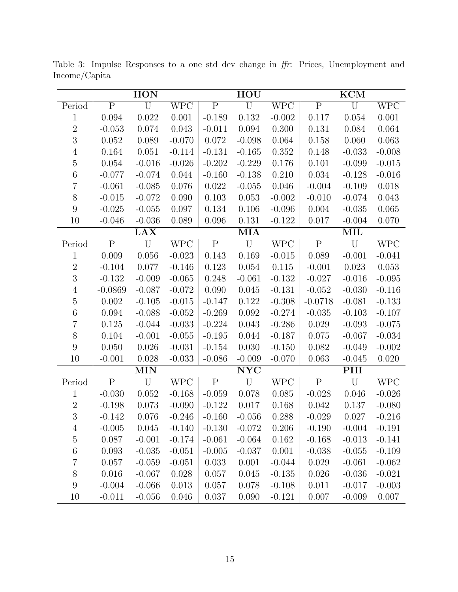|                  |                         | <b>HON</b>     |                             |                         | HOU            |            | <b>KCM</b>              |                |            |  |  |
|------------------|-------------------------|----------------|-----------------------------|-------------------------|----------------|------------|-------------------------|----------------|------------|--|--|
| Period           | $\overline{\mathbf{P}}$ | U              | $W\overline{P}\overline{C}$ | $\overline{P}$          | U              | <b>WPC</b> | $\overline{\mathbf{P}}$ | U              | <b>WPC</b> |  |  |
| $\mathbf{1}$     | 0.094                   | 0.022          | 0.001                       | $-0.189$                | 0.132          | $-0.002$   | 0.117                   | 0.054          | 0.001      |  |  |
| $\overline{2}$   | $-0.053$                | 0.074          | 0.043                       | $-0.011$                | 0.094          | 0.300      | 0.131                   | 0.084          | 0.064      |  |  |
| 3                | 0.052                   | $0.089\,$      | $-0.070$                    | 0.072                   | $-0.098$       | 0.064      | 0.158                   | 0.060          | 0.063      |  |  |
| $\overline{4}$   | 0.164                   | 0.051          | $-0.114$                    | $-0.131$                | $-0.165$       | 0.352      | 0.148                   | $-0.033$       | $-0.008$   |  |  |
| $\bf 5$          | 0.054                   | $-0.016$       | $-0.026$                    | $-0.202$                | $-0.229$       | 0.176      | 0.101                   | $-0.099$       | $-0.015$   |  |  |
| $\,6\,$          | $-0.077$                | $-0.074$       | 0.044                       | $-0.160$                | $-0.138$       | 0.210      | 0.034                   | $-0.128$       | $-0.016$   |  |  |
| $\overline{7}$   | $-0.061$                | $-0.085$       | 0.076                       | 0.022                   | $-0.055$       | 0.046      | $-0.004$                | $-0.109$       | 0.018      |  |  |
| $8\,$            | $-0.015$                | $-0.072$       | 0.090                       | 0.103                   | 0.053          | $-0.002$   | $-0.010$                | $-0.074$       | 0.043      |  |  |
| $\overline{9}$   | $-0.025$                | $-0.055$       | 0.097                       | 0.134                   | 0.106          | $-0.096$   | 0.004                   | $-0.035$       | 0.065      |  |  |
| 10               | $-0.046$                | $-0.036$       | 0.089                       | 0.096                   | 0.131          | $-0.122$   | 0.017                   | $-0.004$       | 0.070      |  |  |
|                  |                         | <b>LAX</b>     |                             |                         | <b>MIA</b>     |            |                         | MIL            |            |  |  |
| Period           | $\overline{P}$          | $\overline{U}$ | <b>WPC</b>                  | $\overline{\mathrm{P}}$ | $\overline{U}$ | <b>WPC</b> | $\overline{P}$          | $\overline{U}$ | <b>WPC</b> |  |  |
| $\mathbf{1}$     | 0.009                   | 0.056          | $-0.023$                    | 0.143                   | 0.169          | $-0.015$   | 0.089                   | $-0.001$       | $-0.041$   |  |  |
| $\,2$            | $-0.104$                | 0.077          | $-0.146$                    | 0.123                   | 0.054          | 0.115      | $-0.001$                | 0.023          | 0.053      |  |  |
| 3                | $-0.132$                | $-0.009$       | $-0.065$                    | 0.248                   | $-0.061$       | $-0.132$   | $-0.027$                | $-0.016$       | $-0.095$   |  |  |
| $\sqrt{4}$       | $-0.0869$               | $-0.087$       | $-0.072$                    | 0.090                   | 0.045          | $-0.131$   | $-0.052$                | $-0.030$       | $-0.116$   |  |  |
| $\bf 5$          | 0.002                   | $-0.105$       | $-0.015$                    | $-0.147$                | 0.122          | $-0.308$   | $-0.0718$               | $-0.081$       | $-0.133$   |  |  |
| $\,6$            | 0.094                   | $-0.088$       | $-0.052$                    | $-0.269$                | 0.092          | $-0.274$   | $-0.035$                | $-0.103$       | $-0.107$   |  |  |
| $\overline{7}$   | 0.125                   | $-0.044$       | $-0.033$                    | $-0.224$                | 0.043          | $-0.286$   | 0.029                   | $-0.093$       | $-0.075$   |  |  |
| $8\,$            | 0.104                   | $-0.001$       | $-0.055$                    | $-0.195$                | 0.044          | $-0.187$   | 0.075                   | $-0.067$       | $-0.034$   |  |  |
| $9\phantom{.}$   | 0.050                   | 0.026          | $-0.031$                    | $-0.154$                | 0.030          | $-0.150$   | 0.082                   | $-0.049$       | $-0.002$   |  |  |
| 10               | $-0.001$                | 0.028          | $-0.033$                    | $-0.086$                | $-0.009$       | $-0.070$   | 0.063                   | $-0.045$       | 0.020      |  |  |
|                  |                         | <b>MIN</b>     |                             |                         | <b>NYC</b>     |            |                         | <b>PHI</b>     |            |  |  |
| Period           | $\mathbf{P}$            | $\mathbf U$    | <b>WPC</b>                  | ${\bf P}$               | U              | <b>WPC</b> | ${\bf P}$               | U              | <b>WPC</b> |  |  |
| $\mathbf{1}$     | $-0.030$                | 0.052          | $-0.168$                    | $-0.059$                | 0.078          | 0.085      | $-0.028$                | 0.046          | $-0.026$   |  |  |
| $\sqrt{2}$       | $-0.198$                | 0.073          | $-0.090$                    | $-0.122$                | 0.017          | 0.168      | 0.042                   | 0.137          | $-0.080$   |  |  |
| 3                | $-0.142$                | 0.076          | $-0.246$                    | $-0.160$                | $-0.056$       | 0.288      | $-0.029$                | 0.027          | $-0.216$   |  |  |
| $\overline{4}$   | $-0.005$                | 0.045          | $-0.140$                    | $-0.130$                | $-0.072$       | 0.206      | $-0.190$                | $-0.004$       | $-0.191$   |  |  |
| $\overline{5}$   | 0.087                   | $-0.001$       | $-0.174$                    | $-0.061$                | $-0.064$       | 0.162      | $-0.168$                | $-0.013$       | $-0.141$   |  |  |
| $\,6\,$          | 0.093                   | $-0.035$       | $-0.051$                    | $-0.005$                | $-0.037$       | 0.001      | $-0.038$                | $-0.055$       | $-0.109$   |  |  |
| $\overline{7}$   | 0.057                   | $-0.059$       | $-0.051$                    | 0.033                   | 0.001          | $-0.044$   | 0.029                   | $-0.061$       | $-0.062$   |  |  |
| $8\,$            | 0.016                   | $-0.067$       | 0.028                       | 0.057                   | 0.045          | $-0.135$   | 0.026                   | $-0.036$       | $-0.021$   |  |  |
| $\boldsymbol{9}$ | $-0.004$                | $-0.066$       | 0.013                       | 0.057                   | 0.078          | $-0.108$   | 0.011                   | $-0.017$       | $-0.003$   |  |  |
| 10               | $-0.011$                | $-0.056$       | 0.046                       | 0.037                   | 0.090          | $-0.121$   | 0.007                   | $-0.009$       | 0.007      |  |  |

Table 3: Impulse Responses to a one std dev change in ffr: Prices, Unemployment and Income/Capita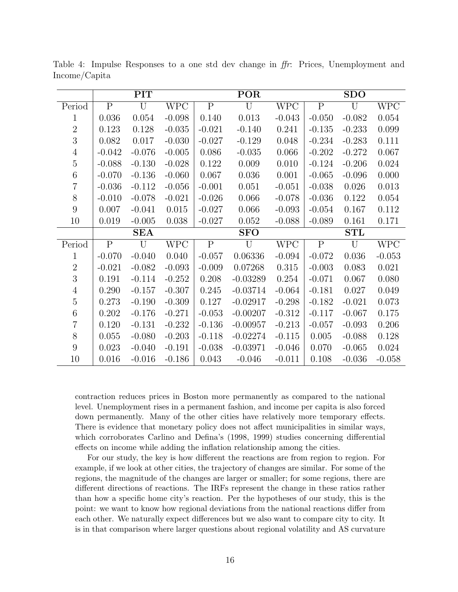|                  |                | <b>PIT</b>     |            |                | POR        |            | <b>SDO</b>     |            |                  |  |  |  |
|------------------|----------------|----------------|------------|----------------|------------|------------|----------------|------------|------------------|--|--|--|
| Period           | $\mathbf{P}$   | U              | <b>WPC</b> | $\overline{P}$ | U          | <b>WPC</b> | $\overline{P}$ | U          | <b>WPC</b>       |  |  |  |
| 1                | 0.036          | 0.054          | $-0.098$   | 0.140          | $0.013\,$  | $-0.043$   | $-0.050$       | $-0.082$   | 0.054            |  |  |  |
| $\overline{2}$   | 0.123          | 0.128          | $-0.035$   | $-0.021$       | $-0.140$   | 0.241      | $-0.135$       | $-0.233$   | 0.099            |  |  |  |
| 3                | 0.082          | 0.017          | $-0.030$   | $-0.027$       | $-0.129$   | 0.048      | $-0.234$       | $-0.283$   | 0.111            |  |  |  |
| $\overline{4}$   | $-0.042$       | $-0.076$       | $-0.005$   | 0.086          | $-0.035$   | 0.066      | $-0.202$       | $-0.272$   | 0.067            |  |  |  |
| $\overline{5}$   | $-0.088$       | $-0.130$       | $-0.028$   | 0.122          | 0.009      | 0.010      | $-0.124$       | $-0.206$   | 0.024            |  |  |  |
| $\,6$            | $-0.070$       | $-0.136$       | $-0.060$   | 0.067          | 0.036      | 0.001      | $-0.065$       | $-0.096$   | 0.000            |  |  |  |
| $\overline{7}$   | $-0.036$       | $-0.112$       | $-0.056$   | $-0.001$       | 0.051      | $-0.051$   | $-0.038$       | 0.026      | 0.013            |  |  |  |
| $8\,$            | $-0.010$       | $-0.078$       | $-0.021$   | $-0.026$       | 0.066      | $-0.078$   | $-0.036$       | 0.122      | 0.054            |  |  |  |
| 9                | 0.007          | $-0.041$       | 0.015      | $-0.027$       | 0.066      | $-0.093$   | $-0.054$       | 0.167      | 0.112            |  |  |  |
| 10               | 0.019          | $-0.005$       | 0.038      | $-0.027$       | 0.052      | $-0.088$   | $-0.089$       | 0.161      | 0.171            |  |  |  |
|                  |                | $\mathbf{SEA}$ |            |                | <b>SFO</b> |            |                | <b>STL</b> |                  |  |  |  |
| Period           | $\overline{P}$ | U              | <b>WPC</b> | $\overline{P}$ | U          | <b>WPC</b> | $\mathbf{P}$   | U          | $WP\overline{C}$ |  |  |  |
| $\mathbf 1$      | $-0.070$       | $-0.040$       | 0.040      | $-0.057$       | 0.06336    | $-0.094$   | $-0.072$       | 0.036      | $-0.053$         |  |  |  |
| $\overline{2}$   | $-0.021$       | $-0.082$       | $-0.093$   | $-0.009$       | 0.07268    | 0.315      | $-0.003$       | 0.083      | 0.021            |  |  |  |
| 3                | 0.191          | $-0.114$       | $-0.252$   | 0.208          | $-0.03289$ | 0.254      | $-0.071$       | 0.067      | 0.080            |  |  |  |
| $\overline{4}$   | 0.290          | $-0.157$       | $-0.307$   | 0.245          | $-0.03714$ | $-0.064$   | $-0.181$       | 0.027      | 0.049            |  |  |  |
| $\bf 5$          | 0.273          | $-0.190$       | $-0.309$   | 0.127          | $-0.02917$ | $-0.298$   | $-0.182$       | $-0.021$   | 0.073            |  |  |  |
| $\,6$            | 0.202          | $-0.176$       | $-0.271$   | $-0.053$       | $-0.00207$ | $-0.312$   | $-0.117$       | $-0.067$   | 0.175            |  |  |  |
| $\overline{7}$   | 0.120          | $-0.131$       | $-0.232$   | $-0.136$       | $-0.00957$ | $-0.213$   | $-0.057$       | $-0.093$   | 0.206            |  |  |  |
| $8\,$            | 0.055          | $-0.080$       | $-0.203$   | $-0.118$       | $-0.02274$ | $-0.115$   | 0.005          | $-0.088$   | 0.128            |  |  |  |
| $\boldsymbol{9}$ | 0.023          | $-0.040$       | $-0.191$   | $-0.038$       | $-0.03971$ | $-0.046$   | 0.070          | $-0.065$   | 0.024            |  |  |  |
| 10               | 0.016          | $-0.016$       | $-0.186$   | 0.043          | $-0.046$   | $-0.011$   | 0.108          | $-0.036$   | $-0.058$         |  |  |  |

Table 4: Impulse Responses to a one std dev change in ffr: Prices, Unemployment and Income/Capita

contraction reduces prices in Boston more permanently as compared to the national level. Unemployment rises in a permanent fashion, and income per capita is also forced down permanently. Many of the other cities have relatively more temporary effects. There is evidence that monetary policy does not affect municipalities in similar ways, which corroborates Carlino and Defina's (1998, 1999) studies concerning differential effects on income while adding the inflation relationship among the cities.

For our study, the key is how different the reactions are from region to region. For example, if we look at other cities, the trajectory of changes are similar. For some of the regions, the magnitude of the changes are larger or smaller; for some regions, there are different directions of reactions. The IRFs represent the change in these ratios rather than how a specific home city's reaction. Per the hypotheses of our study, this is the point: we want to know how regional deviations from the national reactions differ from each other. We naturally expect differences but we also want to compare city to city. It is in that comparison where larger questions about regional volatility and AS curvature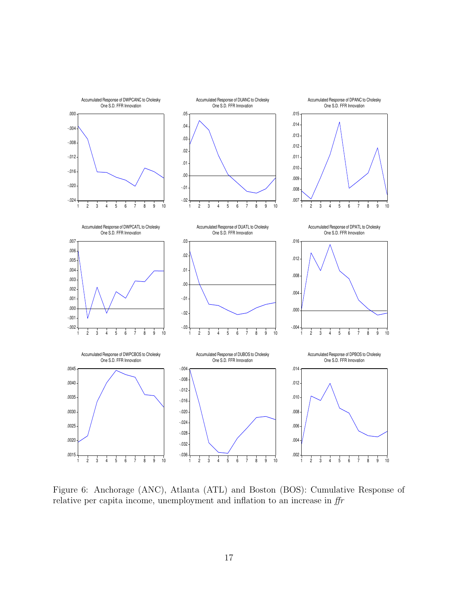

Figure 6: Anchorage (ANC), Atlanta (ATL) and Boston (BOS): Cumulative Response of relative per capita income, unemployment and inflation to an increase in ffr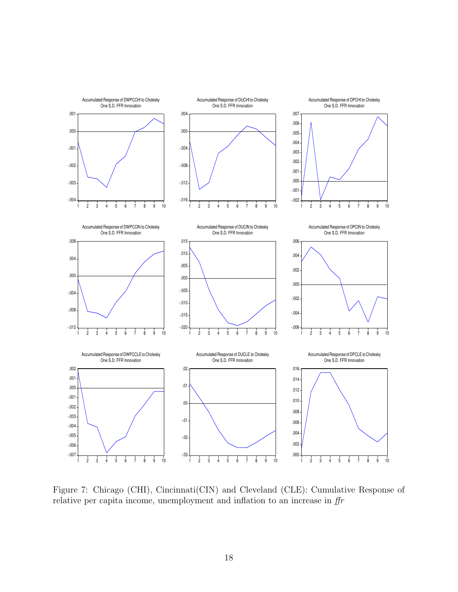

Figure 7: Chicago (CHI), Cincinnati(CIN) and Cleveland (CLE): Cumulative Response of relative per capita income, unemployment and inflation to an increase in ffr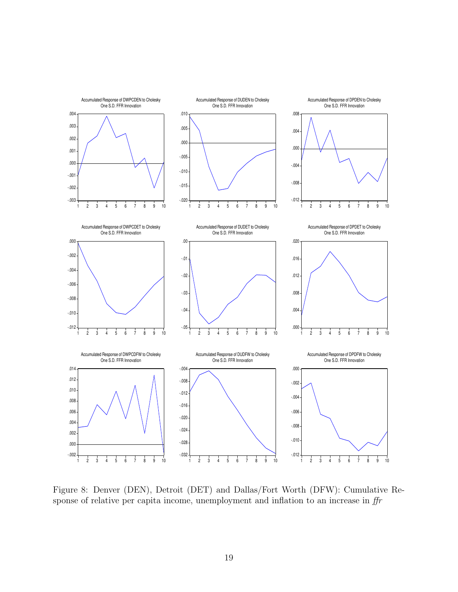

Figure 8: Denver (DEN), Detroit (DET) and Dallas/Fort Worth (DFW): Cumulative Response of relative per capita income, unemployment and inflation to an increase in  $\mathit{ffr}$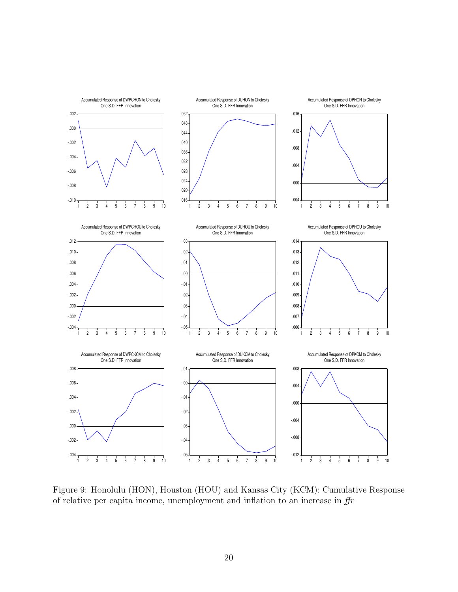

Figure 9: Honolulu (HON), Houston (HOU) and Kansas City (KCM): Cumulative Response of relative per capita income, unemployment and inflation to an increase in ffr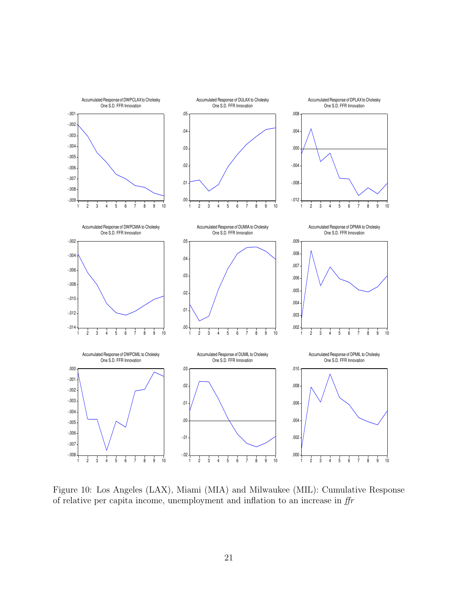

Figure 10: Los Angeles (LAX), Miami (MIA) and Milwaukee (MIL): Cumulative Response of relative per capita income, unemployment and inflation to an increase in ffr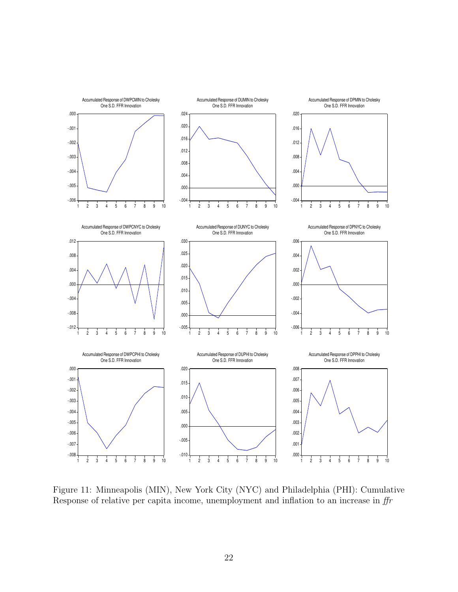

Figure 11: Minneapolis (MIN), New York City (NYC) and Philadelphia (PHI): Cumulative Response of relative per capita income, unemployment and inflation to an increase in ffr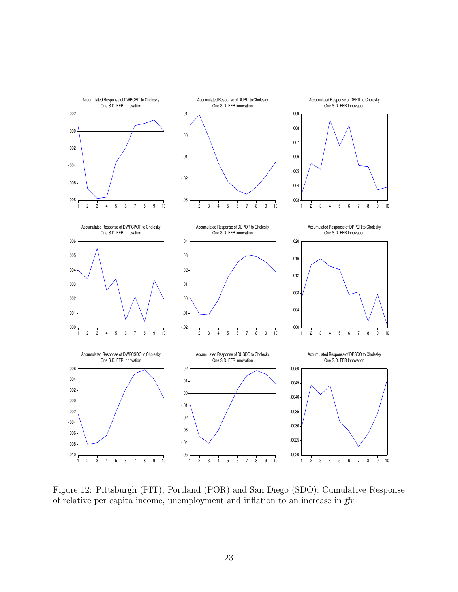

Figure 12: Pittsburgh (PIT), Portland (POR) and San Diego (SDO): Cumulative Response of relative per capita income, unemployment and inflation to an increase in ffr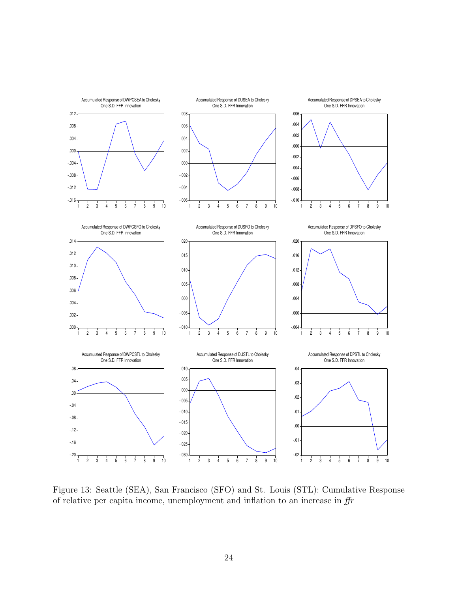

Figure 13: Seattle (SEA), San Francisco (SFO) and St. Louis (STL): Cumulative Response of relative per capita income, unemployment and inflation to an increase in ffr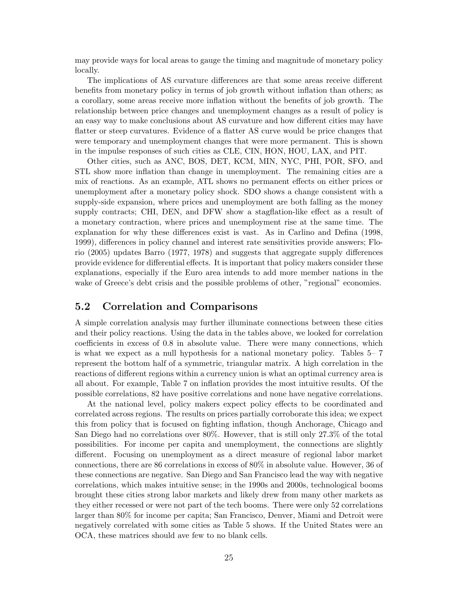may provide ways for local areas to gauge the timing and magnitude of monetary policy locally.

The implications of AS curvature differences are that some areas receive different benefits from monetary policy in terms of job growth without inflation than others; as a corollary, some areas receive more inflation without the benefits of job growth. The relationship between price changes and unemployment changes as a result of policy is an easy way to make conclusions about AS curvature and how different cities may have flatter or steep curvatures. Evidence of a flatter AS curve would be price changes that were temporary and unemployment changes that were more permanent. This is shown in the impulse responses of such cities as CLE, CIN, HON, HOU, LAX, and PIT.

Other cities, such as ANC, BOS, DET, KCM, MIN, NYC, PHI, POR, SFO, and STL show more inflation than change in unemployment. The remaining cities are a mix of reactions. As an example, ATL shows no permanent effects on either prices or unemployment after a monetary policy shock. SDO shows a change consistent with a supply-side expansion, where prices and unemployment are both falling as the money supply contracts; CHI, DEN, and DFW show a stagflation-like effect as a result of a monetary contraction, where prices and unemployment rise at the same time. The explanation for why these differences exist is vast. As in Carlino and Defina (1998, 1999), differences in policy channel and interest rate sensitivities provide answers; Florio (2005) updates Barro (1977, 1978) and suggests that aggregate supply differences provide evidence for differential effects. It is important that policy makers consider these explanations, especially if the Euro area intends to add more member nations in the wake of Greece's debt crisis and the possible problems of other, "regional" economies.

#### 5.2 Correlation and Comparisons

A simple correlation analysis may further illuminate connections between these cities and their policy reactions. Using the data in the tables above, we looked for correlation coefficients in excess of 0.8 in absolute value. There were many connections, which is what we expect as a null hypothesis for a national monetary policy. Tables 5– 7 represent the bottom half of a symmetric, triangular matrix. A high correlation in the reactions of different regions within a currency union is what an optimal currency area is all about. For example, Table 7 on inflation provides the most intuitive results. Of the possible correlations, 82 have positive correlations and none have negative correlations.

At the national level, policy makers expect policy effects to be coordinated and correlated across regions. The results on prices partially corroborate this idea; we expect this from policy that is focused on fighting inflation, though Anchorage, Chicago and San Diego had no correlations over 80%. However, that is still only 27.3% of the total possibilities. For income per capita and unemployment, the connections are slightly different. Focusing on unemployment as a direct measure of regional labor market connections, there are 86 correlations in excess of 80% in absolute value. However, 36 of these connections are negative. San Diego and San Francisco lead the way with negative correlations, which makes intuitive sense; in the 1990s and 2000s, technological booms brought these cities strong labor markets and likely drew from many other markets as they either recessed or were not part of the tech booms. There were only 52 correlations larger than 80% for income per capita; San Francisco, Denver, Miami and Detroit were negatively correlated with some cities as Table 5 shows. If the United States were an OCA, these matrices should ave few to no blank cells.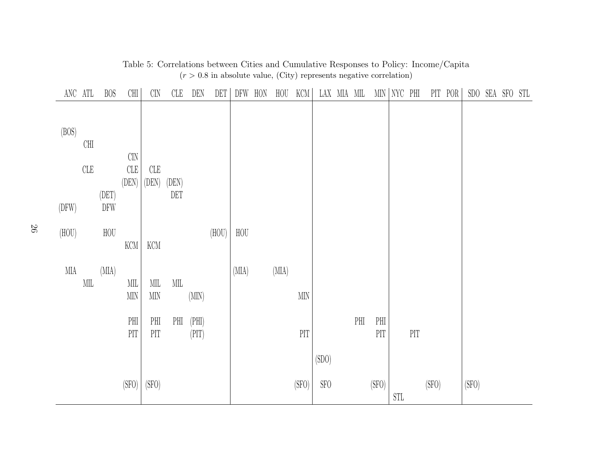| ANC ATL |              | <b>BOS</b>  | $\rm CHI$                          | $\binom{7}{1}$              | CLE                     | DEN   | DET   | DFW         | HON | H <sub>0</sub> | KCM          |             | LAX MIA MIL |                        | MIN        | NYC PHI              |            |       | PIT POR |       | SDO SEA SFO STL |  |
|---------|--------------|-------------|------------------------------------|-----------------------------|-------------------------|-------|-------|-------------|-----|----------------|--------------|-------------|-------------|------------------------|------------|----------------------|------------|-------|---------|-------|-----------------|--|
|         |              |             |                                    |                             |                         |       |       |             |     |                |              |             |             |                        |            |                      |            |       |         |       |                 |  |
| (BOS)   |              |             |                                    |                             |                         |       |       |             |     |                |              |             |             |                        |            |                      |            |       |         |       |                 |  |
|         | $\rm CHI$    |             |                                    |                             |                         |       |       |             |     |                |              |             |             |                        |            |                      |            |       |         |       |                 |  |
|         |              |             | $\rm CIN$                          |                             |                         |       |       |             |     |                |              |             |             |                        |            |                      |            |       |         |       |                 |  |
|         | ${\rm CLE}$  |             | ${\rm CLE}$                        | CLE                         |                         |       |       |             |     |                |              |             |             |                        |            |                      |            |       |         |       |                 |  |
|         |              | (DET)       | (DEN)                              | (DEN)                       | (DEN)<br>DET            |       |       |             |     |                |              |             |             |                        |            |                      |            |       |         |       |                 |  |
| (DFW)   |              | DFW         |                                    |                             |                         |       |       |             |     |                |              |             |             |                        |            |                      |            |       |         |       |                 |  |
|         |              |             |                                    |                             |                         |       |       |             |     |                |              |             |             |                        |            |                      |            |       |         |       |                 |  |
| (HOU)   |              | ${\rm HOU}$ | $\rm KCM$                          | $\mathop{\rm KCM}\nolimits$ |                         |       | (HOU) | ${\rm HOU}$ |     |                |              |             |             |                        |            |                      |            |       |         |       |                 |  |
|         |              |             |                                    |                             |                         |       |       |             |     |                |              |             |             |                        |            |                      |            |       |         |       |                 |  |
| MIA     |              | (MIA)       |                                    |                             |                         |       |       | (MIA)       |     | (MIA)          |              |             |             |                        |            |                      |            |       |         |       |                 |  |
|         | $\text{MIL}$ |             | $\text{MIL}$                       | $\text{MIL}$                | $\text{MIL}$            |       |       |             |     |                |              |             |             |                        |            |                      |            |       |         |       |                 |  |
|         |              |             | $\operatorname{MIN}$               | $\text{MIN}$                |                         | (MIN) |       |             |     |                | $\mbox{MIN}$ |             |             |                        |            |                      |            |       |         |       |                 |  |
|         |              |             | $\mathbb{P}\mathcal{H}$            | $\rm{PHI}$                  | $\mathbb{P}\mathcal{H}$ | (PHI) |       |             |     |                |              |             |             | $\mathbb{P}\mathbb{H}$ | $\rm{PHI}$ |                      |            |       |         |       |                 |  |
|         |              |             | $\mathbb{P} \mathbb{I} \mathbb{T}$ | $\rm{PIT}$                  |                         | (PIT) |       |             |     |                | $\rm{PIT}$   |             |             |                        | PIT        |                      | $\rm{PIT}$ |       |         |       |                 |  |
|         |              |             |                                    |                             |                         |       |       |             |     |                |              |             |             |                        |            |                      |            |       |         |       |                 |  |
|         |              |             |                                    |                             |                         |       |       |             |     |                |              | (SDO)       |             |                        |            |                      |            |       |         |       |                 |  |
|         |              |             | (SFO)                              | (SFO)                       |                         |       |       |             |     |                | (SFO)        | ${\rm SFO}$ |             |                        | (SFO)      |                      |            | (SFO) |         | (SFO) |                 |  |
|         |              |             |                                    |                             |                         |       |       |             |     |                |              |             |             |                        |            | $\operatorname{STL}$ |            |       |         |       |                 |  |

Table 5: Correlations between Cities and Cumulative Responses to Policy: Income/Capita $(r > 0.8$  in absolute value, (City) represents negative correlation)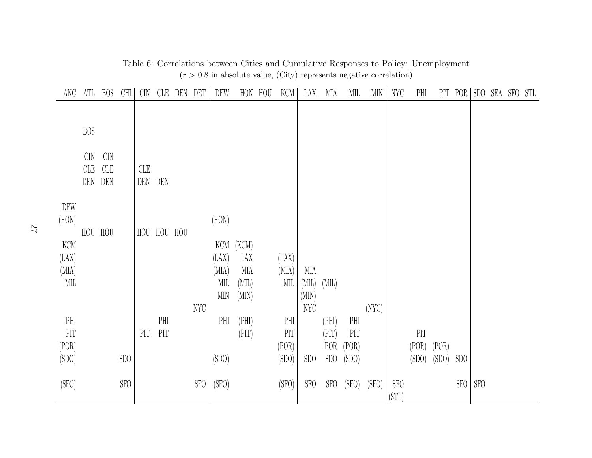| ANC          | ATL        | <b>BOS</b> | <b>CHI</b>      | <b>CIN</b> | CLE                     | DEN | DET         | DFW                  | HON          | HOU | KCM          | LAX          | MIA         | MIL   | MIN   | NYC         | PHI   |       | PIT POR         |             | SDO SEA SFO STL |  |
|--------------|------------|------------|-----------------|------------|-------------------------|-----|-------------|----------------------|--------------|-----|--------------|--------------|-------------|-------|-------|-------------|-------|-------|-----------------|-------------|-----------------|--|
|              |            |            |                 |            |                         |     |             |                      |              |     |              |              |             |       |       |             |       |       |                 |             |                 |  |
|              | <b>BOS</b> |            |                 |            |                         |     |             |                      |              |     |              |              |             |       |       |             |       |       |                 |             |                 |  |
|              |            |            |                 |            |                         |     |             |                      |              |     |              |              |             |       |       |             |       |       |                 |             |                 |  |
|              | <b>CIN</b> | <b>CIN</b> |                 |            |                         |     |             |                      |              |     |              |              |             |       |       |             |       |       |                 |             |                 |  |
|              | CLE        | <b>CLE</b> |                 | CLE        |                         |     |             |                      |              |     |              |              |             |       |       |             |       |       |                 |             |                 |  |
|              | DEN        | DEN        |                 | DEN DEN    |                         |     |             |                      |              |     |              |              |             |       |       |             |       |       |                 |             |                 |  |
| DFW          |            |            |                 |            |                         |     |             |                      |              |     |              |              |             |       |       |             |       |       |                 |             |                 |  |
| (HON)        |            |            |                 |            |                         |     |             | (HON)                |              |     |              |              |             |       |       |             |       |       |                 |             |                 |  |
|              |            | HOU HOU    |                 | HOU        | HOU                     | HOU |             |                      |              |     |              |              |             |       |       |             |       |       |                 |             |                 |  |
| <b>KCM</b>   |            |            |                 |            |                         |     |             |                      | KCM (KCM)    |     |              |              |             |       |       |             |       |       |                 |             |                 |  |
| (LAX)        |            |            |                 |            |                         |     |             | (LAX)                | LAX          |     | (LAX)        |              |             |       |       |             |       |       |                 |             |                 |  |
| (MIA)<br>MIL |            |            |                 |            |                         |     |             | (MIA)<br>MIL         | MIA<br>(MIL) |     | (MIA)<br>MIL | MIA<br>(MIL) | (MIL)       |       |       |             |       |       |                 |             |                 |  |
|              |            |            |                 |            |                         |     |             | $\operatorname{MIN}$ | (MIN)        |     |              | (MIN)        |             |       |       |             |       |       |                 |             |                 |  |
|              |            |            |                 |            |                         |     | <b>NYC</b>  |                      |              |     |              | <b>NYC</b>   |             |       | (NYC) |             |       |       |                 |             |                 |  |
| PHI          |            |            |                 |            | $\mathbb{P}\mathcal{H}$ |     |             | PHI                  | (PHI)        |     | PHI          |              | (PHI)       | PHI   |       |             |       |       |                 |             |                 |  |
| $\rm{PIT}$   |            |            |                 | PIT        | PIT                     |     |             |                      | (PIT)        |     | PIT          |              | (PIT)       | PIT   |       |             | PIT   |       |                 |             |                 |  |
| (POR)        |            |            |                 |            |                         |     |             |                      |              |     | (POR)        |              | POR         | (POR) |       |             | (POR) | (POR) |                 |             |                 |  |
| (SDO)        |            |            | SD <sub>0</sub> |            |                         |     |             | (SDO)                |              |     | (SDO)        | SDO          | SDO         | (SDO) |       |             | (SDO) | (SDO) | SD <sub>0</sub> |             |                 |  |
| (SFO)        |            |            | SFO             |            |                         |     | ${\rm SFO}$ | (SFO)                |              |     | (SFO)        | <b>SFO</b>   | ${\rm SFO}$ | (SFO) | (SFO) | ${\rm SFO}$ |       |       | SFO             | ${\rm SFO}$ |                 |  |
|              |            |            |                 |            |                         |     |             |                      |              |     |              |              |             |       |       | (STL)       |       |       |                 |             |                 |  |

Table 6: Correlations between Cities and Cumulative Responses to Policy: Unemployment $(r > 0.8$  in absolute value, (City) represents negative correlation)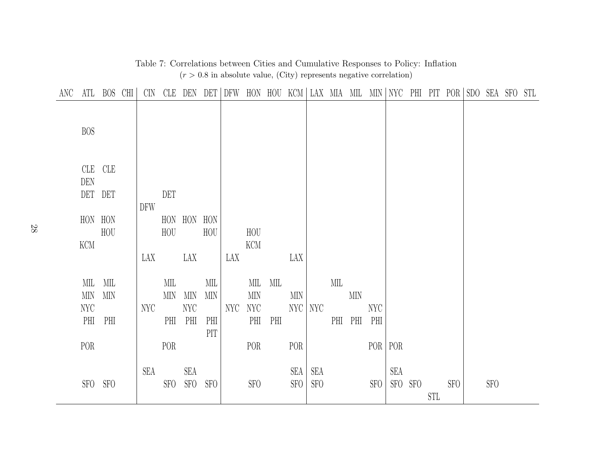| ANC | ATL                                | BOS          | <b>CHI</b> | <b>CIN</b> | CLE             | DEN               | DET          | DFW |            |     | HON HOU KCM          | LAX MIA MIL MIN |     |            |            |     |         |     | NYC PHI PIT POR SDO SEA SFO STL |            |  |
|-----|------------------------------------|--------------|------------|------------|-----------------|-------------------|--------------|-----|------------|-----|----------------------|-----------------|-----|------------|------------|-----|---------|-----|---------------------------------|------------|--|
|     | <b>BOS</b>                         |              |            |            |                 |                   |              |     |            |     |                      |                 |     |            |            |     |         |     |                                 |            |  |
|     | CLE<br>$\mathop{\rm DEN}\nolimits$ | <b>CLE</b>   |            |            |                 |                   |              |     |            |     |                      |                 |     |            |            |     |         |     |                                 |            |  |
|     | DET DET                            |              |            |            | DEF             |                   |              |     |            |     |                      |                 |     |            |            |     |         |     |                                 |            |  |
|     |                                    |              |            | <b>DFW</b> |                 |                   |              |     |            |     |                      |                 |     |            |            |     |         |     |                                 |            |  |
|     | HON HON                            | HOU          |            |            | H <sub>OU</sub> | HON HON           | HON<br>HOU   |     |            |     |                      |                 |     |            |            |     |         |     |                                 |            |  |
|     | KCM                                |              |            |            |                 |                   |              |     | HOU<br>KCM |     |                      |                 |     |            |            |     |         |     |                                 |            |  |
|     |                                    |              |            | LAX        |                 | LAX               |              | LAX |            |     | LAX                  |                 |     |            |            |     |         |     |                                 |            |  |
|     |                                    |              |            |            |                 |                   |              |     |            |     |                      |                 |     |            |            |     |         |     |                                 |            |  |
|     | МL                                 | MIL          |            |            | MIL             |                   | MIL          |     | MIL        | MIL |                      |                 | MIL |            |            |     |         |     |                                 |            |  |
|     | $\text{MIN}$<br><b>NYC</b>         | $\text{MIN}$ |            | <b>NYC</b> | $\text{MIN}$    | MIN<br><b>NYC</b> | $\mbox{MIN}$ | NYC | MIN<br>NYC |     | MIN<br>$NYC$   $NYC$ |                 |     | <b>MIN</b> | <b>NYC</b> |     |         |     |                                 |            |  |
|     | PHI                                | PHI          |            |            | PHI             | PHI               | PHI          |     | PHI        | PHI |                      |                 |     | PHI PHI    | PHI        |     |         |     |                                 |            |  |
|     |                                    |              |            |            |                 |                   | PIT          |     |            |     |                      |                 |     |            |            |     |         |     |                                 |            |  |
|     | POR                                |              |            |            | POR             |                   |              |     | POR        |     | POR                  |                 |     |            | POR        | POR |         |     |                                 |            |  |
|     |                                    |              |            | <b>SEA</b> |                 |                   |              |     |            |     |                      | <b>SEA</b>      |     |            |            | SEA |         |     |                                 |            |  |
|     | <b>SFO</b>                         | <b>SFO</b>   |            |            | SFO             | <b>SEA</b><br>SFO | <b>SFO</b>   |     | <b>SFO</b> |     | SEA<br><b>SFO</b>    | <b>SFO</b>      |     |            | <b>SFO</b> |     | SFO SFO |     | <b>SFO</b>                      | <b>SFO</b> |  |
|     |                                    |              |            |            |                 |                   |              |     |            |     |                      |                 |     |            |            |     |         | STL |                                 |            |  |

Table 7: Correlations between Cities and Cumulative Responses to Policy: Inflation $(r > 0.8$  in absolute value, (City) represents negative correlation)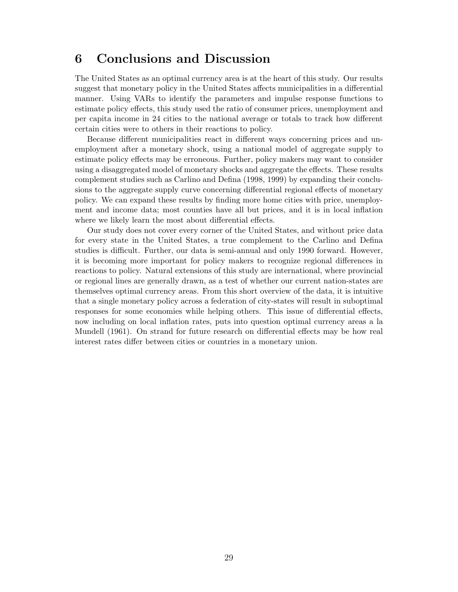### 6 Conclusions and Discussion

The United States as an optimal currency area is at the heart of this study. Our results suggest that monetary policy in the United States affects municipalities in a differential manner. Using VARs to identify the parameters and impulse response functions to estimate policy effects, this study used the ratio of consumer prices, unemployment and per capita income in 24 cities to the national average or totals to track how different certain cities were to others in their reactions to policy.

Because different municipalities react in different ways concerning prices and unemployment after a monetary shock, using a national model of aggregate supply to estimate policy effects may be erroneous. Further, policy makers may want to consider using a disaggregated model of monetary shocks and aggregate the effects. These results complement studies such as Carlino and Defina (1998, 1999) by expanding their conclusions to the aggregate supply curve concerning differential regional effects of monetary policy. We can expand these results by finding more home cities with price, unemployment and income data; most counties have all but prices, and it is in local inflation where we likely learn the most about differential effects.

Our study does not cover every corner of the United States, and without price data for every state in the United States, a true complement to the Carlino and Defina studies is difficult. Further, our data is semi-annual and only 1990 forward. However, it is becoming more important for policy makers to recognize regional differences in reactions to policy. Natural extensions of this study are international, where provincial or regional lines are generally drawn, as a test of whether our current nation-states are themselves optimal currency areas. From this short overview of the data, it is intuitive that a single monetary policy across a federation of city-states will result in suboptimal responses for some economies while helping others. This issue of differential effects, now including on local inflation rates, puts into question optimal currency areas a la Mundell (1961). On strand for future research on differential effects may be how real interest rates differ between cities or countries in a monetary union.